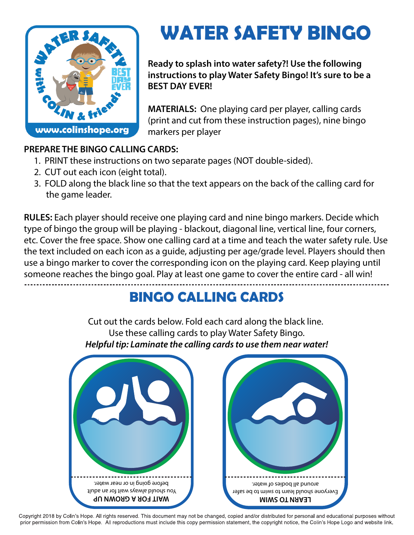

## **WATER SAFETY BINGO**

**Ready to splash into water safety?! Use the following instructions to play Water Safety Bingo! It's sure to be a BEST DAY EVER!**

**MATERIALS:** One playing card per player, calling cards (print and cut from these instruction pages), nine bingo markers per player

## **PREPARE THE BINGO CALLING CARDS:**

- 1. PRINT these instructions on two separate pages (NOT double-sided).
- 2. CUT out each icon (eight total).
- 3. FOLD along the black line so that the text appears on the back of the calling card for the game leader.

**RULES:** Each player should receive one playing card and nine bingo markers. Decide which type of bingo the group will be playing - blackout, diagonal line, vertical line, four corners, etc. Cover the free space. Show one calling card at a time and teach the water safety rule. Use the text included on each icon as a guide, adjusting per age/grade level. Players should then use a bingo marker to cover the corresponding icon on the playing card. Keep playing until someone reaches the bingo goal. Play at least one game to cover the entire card - all win!

## **BINGO CALLING CARDS**

Cut out the cards below. Fold each card along the black line. Use these calling cards to play Water Safety Bingo. *Helpful tip: Laminate the calling cards to use them near water!*



Copyright 2018 by Colin's Hope. All rights reserved. This document may not be changed, copied and/or distributed for personal and educational purposes without prior permission from Colin's Hope. All reproductions must include this copy permission statement, the copyright notice, the Colin's Hope Logo and website link.